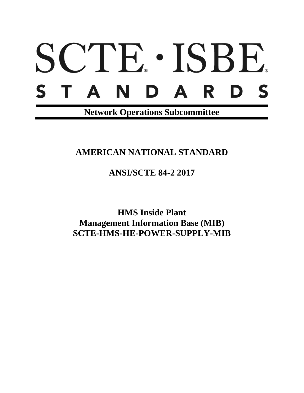# SCTE · ISBE. STANDARD S

**Network Operations Subcommittee**

## **AMERICAN NATIONAL STANDARD**

**ANSI/SCTE 84-2 2017**

**HMS Inside Plant Management Information Base (MIB) SCTE-HMS-HE-POWER-SUPPLY-MIB**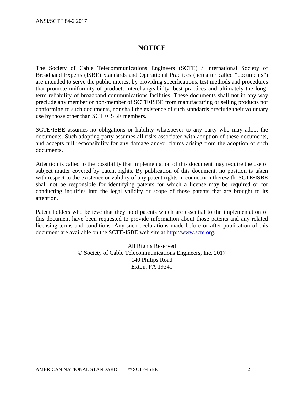#### **NOTICE**

The Society of Cable Telecommunications Engineers (SCTE) / International Society of Broadband Experts (ISBE) Standards and Operational Practices (hereafter called "documents") are intended to serve the public interest by providing specifications, test methods and procedures that promote uniformity of product, interchangeability, best practices and ultimately the longterm reliability of broadband communications facilities. These documents shall not in any way preclude any member or non-member of SCTE•ISBE from manufacturing or selling products not conforming to such documents, nor shall the existence of such standards preclude their voluntary use by those other than SCTE•ISBE members.

SCTE•ISBE assumes no obligations or liability whatsoever to any party who may adopt the documents. Such adopting party assumes all risks associated with adoption of these documents, and accepts full responsibility for any damage and/or claims arising from the adoption of such documents.

Attention is called to the possibility that implementation of this document may require the use of subject matter covered by patent rights. By publication of this document, no position is taken with respect to the existence or validity of any patent rights in connection therewith. SCTE•ISBE shall not be responsible for identifying patents for which a license may be required or for conducting inquiries into the legal validity or scope of those patents that are brought to its attention.

Patent holders who believe that they hold patents which are essential to the implementation of this document have been requested to provide information about those patents and any related licensing terms and conditions. Any such declarations made before or after publication of this document are available on the SCTE•ISBE web site at [http://www.scte.org.](http://www.scte.org/)

> All Rights Reserved © Society of Cable Telecommunications Engineers, Inc. 2017 140 Philips Road Exton, PA 19341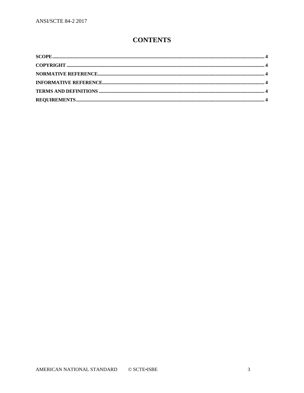### **CONTENTS**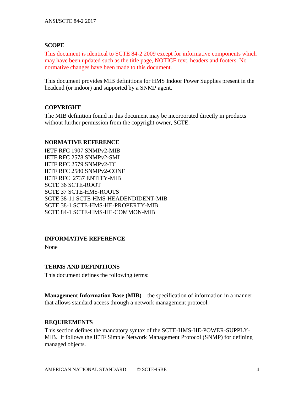#### <span id="page-3-0"></span>**SCOPE**

This document is identical to SCTE 84-2 2009 except for informative components which may have been updated such as the title page, NOTICE text, headers and footers. No normative changes have been made to this document.

This document provides MIB definitions for HMS Indoor Power Supplies present in the headend (or indoor) and supported by a SNMP agent.

#### <span id="page-3-1"></span>**COPYRIGHT**

The MIB definition found in this document may be incorporated directly in products without further permission from the copyright owner, SCTE.

#### <span id="page-3-2"></span>**NORMATIVE REFERENCE**

IETF RFC 1907 SNMPv2-MIB IETF RFC 2578 SNMPv2-SMI IETF RFC 2579 SNMPv2-TC IETF RFC 2580 SNMPv2-CONF IETF RFC 2737 ENTITY-MIB SCTE 36 SCTE-ROOT SCTE 37 SCTE-HMS-ROOTS SCTE 38-11 SCTE-HMS-HEADENDIDENT-MIB SCTE 38-1 SCTE-HMS-HE-PROPERTY-MIB SCTE 84-1 SCTE-HMS-HE-COMMON-MIB

#### <span id="page-3-3"></span>**INFORMATIVE REFERENCE**

None

#### <span id="page-3-4"></span>**TERMS AND DEFINITIONS**

This document defines the following terms:

**Management Information Base (MIB)** – the specification of information in a manner that allows standard access through a network management protocol.

#### <span id="page-3-5"></span>**REQUIREMENTS**

This section defines the mandatory syntax of the SCTE-HMS-HE-POWER-SUPPLY-MIB. It follows the IETF Simple Network Management Protocol (SNMP) for defining managed objects.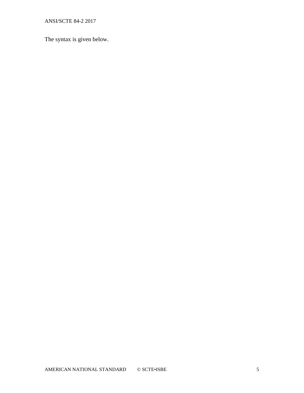ANSI/SCTE 84-2 2017

The syntax is given below.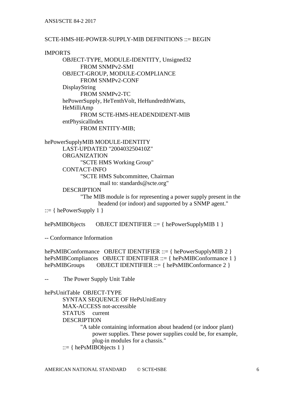#### SCTE-HMS-HE-POWER-SUPPLY-MIB DEFINITIONS ::= BEGIN

#### IMPORTS

OBJECT-TYPE, MODULE-IDENTITY, Unsigned32 FROM SNMPv2-SMI OBJECT-GROUP, MODULE-COMPLIANCE FROM SNMPv2-CONF DisplayString FROM SNMPv2-TC hePowerSupply, HeTenthVolt, HeHundredthWatts, HeMilliAmp FROM SCTE-HMS-HEADENDIDENT-MIB entPhysicalIndex FROM ENTITY-MIB;

hePowerSupplyMIB MODULE-IDENTITY LAST-UPDATED "200403250410Z" ORGANIZATION "SCTE HMS Working Group" CONTACT-INFO "SCTE HMS Subcommittee, Chairman mail to: standards@scte.org" **DESCRIPTION** 

"The MIB module is for representing a power supply present in the headend (or indoor) and supported by a SNMP agent."

 $::= \{ \text{hePowerSupply } 1 \}$ 

hePsMIBObjects OBJECT IDENTIFIER ::= { hePowerSupplyMIB 1 }

-- Conformance Information

hePsMIBConformance OBJECT IDENTIFIER ::= { hePowerSupplyMIB 2 } hePsMIBCompliances OBJECT IDENTIFIER ::= { hePsMIBConformance 1 } hePsMIBGroups OBJECT IDENTIFIER ::= { hePsMIBConformance 2 }

-- The Power Supply Unit Table

#### hePsUnitTable OBJECT-TYPE

SYNTAX SEQUENCE OF HePsUnitEntry MAX-ACCESS not-accessible STATUS current **DESCRIPTION** "A table containing information about headend (or indoor plant) power supplies. These power supplies could be, for example, plug-in modules for a chassis."  $::= \{ hePsMIBObjects 1 \}$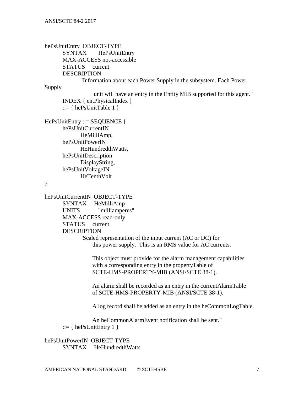hePsUnitEntry OBJECT-TYPE SYNTAX HePsUnitEntry MAX-ACCESS not-accessible STATUS current DESCRIPTION "Information about each Power Supply in the subsystem. Each Power Supply unit will have an entry in the Entity MIB supported for this agent." INDEX { entPhysicalIndex }  $::= \{ \text{hePsUnitTable 1} \}$ HePsUnitEntry ::= SEQUENCE { hePsUnitCurrentIN HeMilliAmp, hePsUnitPowerIN HeHundredthWatts, hePsUnitDescription DisplayString, hePsUnitVoltageIN HeTenthVolt } hePsUnitCurrentIN OBJECT-TYPE SYNTAX HeMilliAmp UNITS "milliamperes" MAX-ACCESS read-only STATUS current DESCRIPTION "Scaled representation of the input current (AC or DC) for this power supply. This is an RMS value for AC currents. This object must provide for the alarm management capabilities with a corresponding entry in the propertyTable of SCTE-HMS-PROPERTY-MIB (ANSI/SCTE 38-1). An alarm shall be recorded as an entry in the currentAlarmTable of SCTE-HMS-PROPERTY-MIB (ANSI/SCTE 38-1). A log record shall be added as an entry in the heCommonLogTable. An heCommonAlarmEvent notification shall be sent."  $::= {hePsUnitEntry 1}$ hePsUnitPowerIN OBJECT-TYPE SYNTAX HeHundredthWatts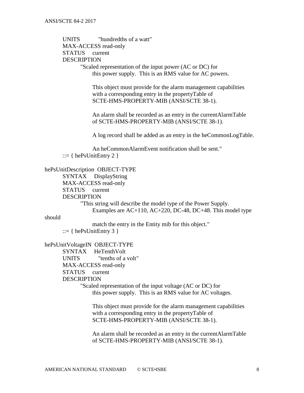UNITS "hundredths of a watt" MAX-ACCESS read-only STATUS current DESCRIPTION "Scaled representation of the input power (AC or DC) for this power supply. This is an RMS value for AC powers.

> This object must provide for the alarm management capabilities with a corresponding entry in the propertyTable of SCTE-HMS-PROPERTY-MIB (ANSI/SCTE 38-1).

> An alarm shall be recorded as an entry in the currentAlarmTable of SCTE-HMS-PROPERTY-MIB (ANSI/SCTE 38-1).

A log record shall be added as an entry in the heCommonLogTable.

 An heCommonAlarmEvent notification shall be sent."  $::= \{ \text{hePsUnitEntry 2 } \}$ 

hePsUnitDescription OBJECT-TYPE

SYNTAX DisplayString MAX-ACCESS read-only STATUS current **DESCRIPTION** 

> "This string will describe the model type of the Power Supply. Examples are AC+110, AC+220, DC-48, DC+48. This model type

should

 match the entry in the Entity mib for this object."  $::= \{ hePsUnitEntry 3 \}$ 

hePsUnitVoltageIN OBJECT-TYPE SYNTAX HeTenthVolt UNITS "tenths of a volt" MAX-ACCESS read-only STATUS current DESCRIPTION "Scaled representation of the input voltage (AC or DC) for this power supply. This is an RMS value for AC voltages.

> This object must provide for the alarm management capabilities with a corresponding entry in the propertyTable of SCTE-HMS-PROPERTY-MIB (ANSI/SCTE 38-1).

> An alarm shall be recorded as an entry in the currentAlarmTable of SCTE-HMS-PROPERTY-MIB (ANSI/SCTE 38-1).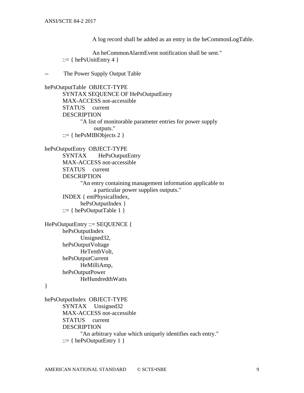A log record shall be added as an entry in the heCommonLogTable.

```
 An heCommonAlarmEvent notification shall be sent."
 ::= \{ \text{hePsUnitEntry 4 } \}
```
-- The Power Supply Output Table

```
hePsOutputTable OBJECT-TYPE
      SYNTAX SEQUENCE OF HePsOutputEntry
      MAX-ACCESS not-accessible
      STATUS current
      DESCRIPTION
             "A list of monitorable parameter entries for power supply 
                   outputs."
       ::= \{ hePsMIBObjects 2 \}hePsOutputEntry OBJECT-TYPE
      SYNTAX HePsOutputEntry
      MAX-ACCESS not-accessible
      STATUS current
      DESCRIPTION 
             "An entry containing management information applicable to
                   a particular power supplies outputs."
      INDEX { entPhysicalIndex, 
             hePsOutputIndex }
       ::= \{ hePsOutputTable 1 \}HePsOutputEntry ::= SEQUENCE {
      hePsOutputIndex
             Unsigned32,
      hePsOutputVoltage
             HeTenthVolt.
      hePsOutputCurrent
             HeMilliAmp,
      hePsOutputPower
             HeHundredthWatts
}
hePsOutputIndex OBJECT-TYPE
      SYNTAX Unsigned32
      MAX-ACCESS not-accessible
      STATUS current
      DESCRIPTION 
             "An arbitrary value which uniquely identifies each entry."
       ::= \{ hePsOutputEntry 1 \}
```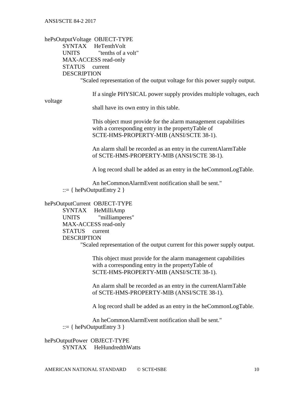hePsOutputVoltage OBJECT-TYPE SYNTAX HeTenthVolt UNITS "tenths of a volt" MAX-ACCESS read-only STATUS current DESCRIPTION "Scaled representation of the output voltage for this power supply output.

If a single PHYSICAL power supply provides multiple voltages, each

voltage

shall have its own entry in this table.

 This object must provide for the alarm management capabilities with a corresponding entry in the propertyTable of SCTE-HMS-PROPERTY-MIB (ANSI/SCTE 38-1).

 An alarm shall be recorded as an entry in the currentAlarmTable of SCTE-HMS-PROPERTY-MIB (ANSI/SCTE 38-1).

A log record shall be added as an entry in the heCommonLogTable.

 An heCommonAlarmEvent notification shall be sent."  $::= \{ \text{hePsOutputEntry 2 } \}$ 

hePsOutputCurrent OBJECT-TYPE

SYNTAX HeMilliAmp UNITS "milliamperes" MAX-ACCESS read-only STATUS current DESCRIPTION "Scaled representation of the output current for this power supply output.

 This object must provide for the alarm management capabilities with a corresponding entry in the propertyTable of SCTE-HMS-PROPERTY-MIB (ANSI/SCTE 38-1).

 An alarm shall be recorded as an entry in the currentAlarmTable of SCTE-HMS-PROPERTY-MIB (ANSI/SCTE 38-1).

A log record shall be added as an entry in the heCommonLogTable.

An heCommonAlarmEvent notification shall be sent."

 $::= \{ \text{hePsOutputEntry } 3 \}$ 

hePsOutputPower OBJECT-TYPE SYNTAX HeHundredthWatts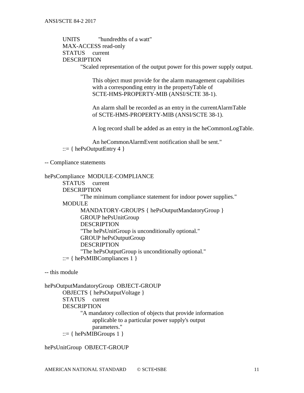UNITS "hundredths of a watt" MAX-ACCESS read-only STATUS current DESCRIPTION "Scaled representation of the output power for this power supply output.

> This object must provide for the alarm management capabilities with a corresponding entry in the propertyTable of SCTE-HMS-PROPERTY-MIB (ANSI/SCTE 38-1).

> An alarm shall be recorded as an entry in the currentAlarmTable of SCTE-HMS-PROPERTY-MIB (ANSI/SCTE 38-1).

A log record shall be added as an entry in the heCommonLogTable.

 An heCommonAlarmEvent notification shall be sent."  $::= \{ hePsOutputEntry 4 \}$ 

-- Compliance statements

```
hePsCompliance MODULE-COMPLIANCE
      STATUS current
      DESCRIPTION
            "The minimum compliance statement for indoor power supplies."
      MODULE
            MANDATORY-GROUPS { hePsOutputMandatoryGroup } 
            GROUP hePsUnitGroup
            DESCRIPTION 
            "The hePsUnitGroup is unconditionally optional."
            GROUP hePsOutputGroup
            DESCRIPTION 
            "The hePsOutputGroup is unconditionally optional."
       ::= \{ hePsMIBCompliances 1 \}
```
-- this module

hePsOutputMandatoryGroup OBJECT-GROUP OBJECTS { hePsOutputVoltage } STATUS current **DESCRIPTION** "A mandatory collection of objects that provide information applicable to a particular power supply's output parameters."  $::= \{ hePsMIBGroups 1 \}$ 

hePsUnitGroup OBJECT-GROUP